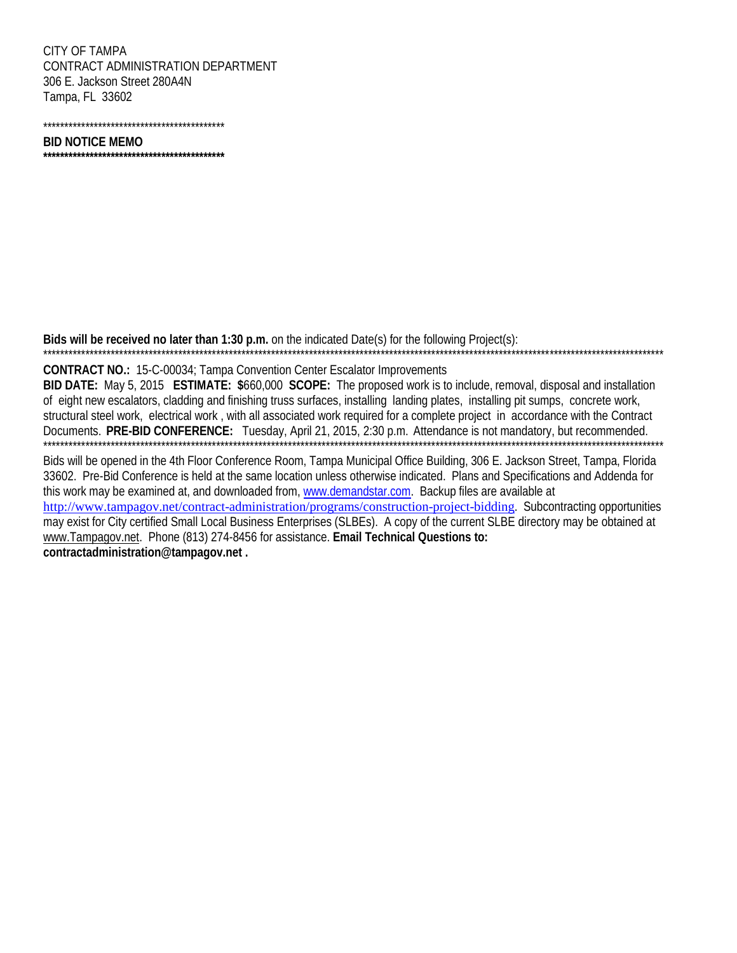CITY OF TAMPA CONTRACT ADMINISTRATION DEPARTMENT 306 E. Jackson Street 280A4N Tampa, FL 33602

## **BID NOTICE MEMO**

\*\*\*\*\*\*\*\*\*\*\*\*\*\*\*\*\*\*\*\*\*\*\*\*\*\*\*\*\*\*\*\*\*\*

Bids will be received no later than 1:30 p.m. on the indicated Date(s) for the following Proiect(s):

## CONTRACT NO.: 15-C-00034; Tampa Convention Center Escalator Improvements

BID DATE: May 5, 2015 ESTIMATE: \$660,000 SCOPE: The proposed work is to include, removal, disposal and installation of eight new escalators, cladding and finishing truss surfaces, installing landing plates, installing pit sumps, concrete work, structural steel work, electrical work, with all associated work required for a complete project in accordance with the Contract Documents. PRE-BID CONFERENCE: Tuesday, April 21, 2015, 2:30 p.m. Attendance is not mandatory, but recommended. 

Bids will be opened in the 4th Floor Conference Room, Tampa Municipal Office Building, 306 E. Jackson Street, Tampa, Florida 33602. Pre-Bid Conference is held at the same location unless otherwise indicated. Plans and Specifications and Addenda for this work may be examined at, and downloaded from, www.demandstar.com. Backup files are available at http://www.tampagov.net/contract-administration/programs/construction-project-bidding. Subcontracting opportunities may exist for City certified Small Local Business Enterprises (SLBEs). A copy of the current SLBE directory may be obtained at www.Tampagov.net. Phone (813) 274-8456 for assistance. Email Technical Questions to: contractadministration@tampagov.net.